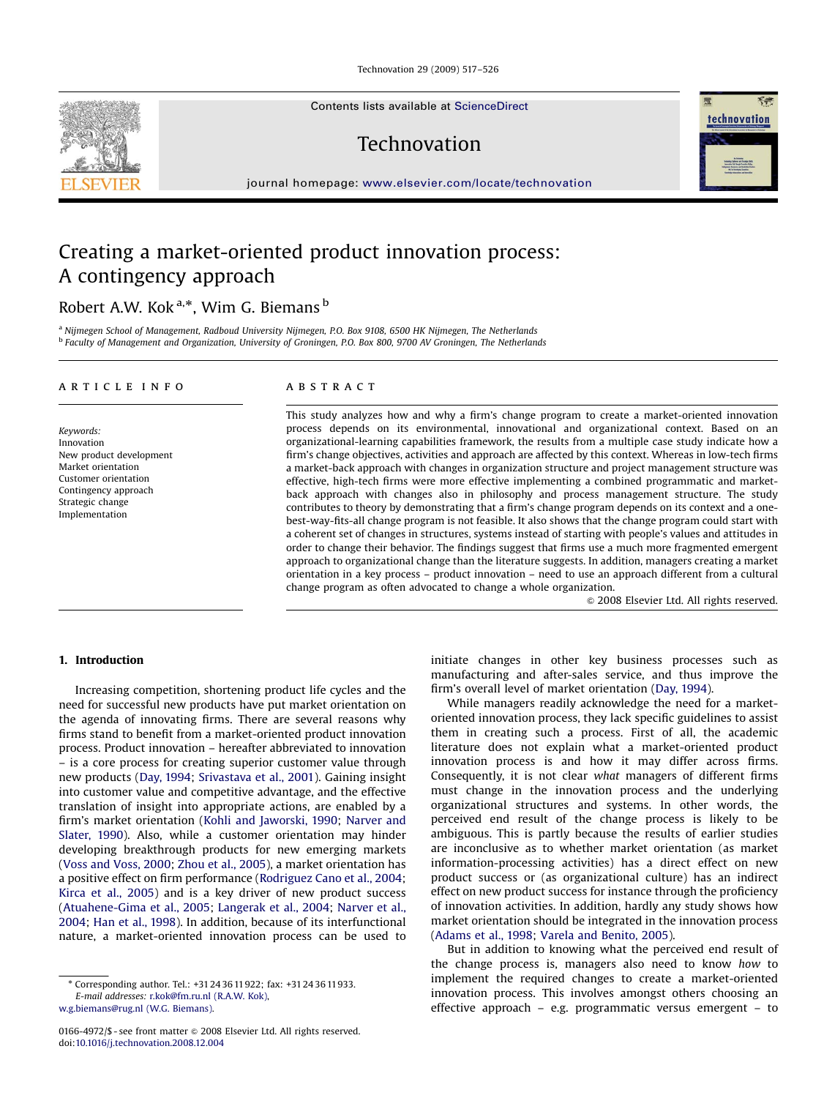Technovation 29 (2009) 517–526

Contents lists available at [ScienceDirect](www.sciencedirect.com/science/journal/tech)

Technovation

journal homepage: <www.elsevier.com/locate/technovation>

## Creating a market-oriented product innovation process: A contingency approach

## Robert A.W. Kok<sup>a,\*</sup>, Wim G. Biemans <sup>b</sup>

a Nijmegen School of Management, Radboud University Nijmegen, P.O. Box 9108, 6500 HK Nijmegen, The Netherlands <sup>b</sup> Faculty of Management and Organization, University of Groningen, P.O. Box 800, 9700 AV Groningen, The Netherlands

#### article info

Keywords: Innovation New product development Market orientation Customer orientation Contingency approach Strategic change Implementation

#### ABSTRACT

This study analyzes how and why a firm's change program to create a market-oriented innovation process depends on its environmental, innovational and organizational context. Based on an organizational-learning capabilities framework, the results from a multiple case study indicate how a firm's change objectives, activities and approach are affected by this context. Whereas in low-tech firms a market-back approach with changes in organization structure and project management structure was effective, high-tech firms were more effective implementing a combined programmatic and marketback approach with changes also in philosophy and process management structure. The study contributes to theory by demonstrating that a firm's change program depends on its context and a onebest-way-fits-all change program is not feasible. It also shows that the change program could start with a coherent set of changes in structures, systems instead of starting with people's values and attitudes in order to change their behavior. The findings suggest that firms use a much more fragmented emergent approach to organizational change than the literature suggests. In addition, managers creating a market orientation in a key process – product innovation – need to use an approach different from a cultural change program as often advocated to change a whole organization.

 $© 2008 Elsevier Ltd. All rights reserved.$ 

### 1. Introduction

Increasing competition, shortening product life cycles and the need for successful new products have put market orientation on the agenda of innovating firms. There are several reasons why firms stand to benefit from a market-oriented product innovation process. Product innovation – hereafter abbreviated to innovation – is a core process for creating superior customer value through new products ([Day, 1994](#page--1-0); [Srivastava et al., 2001](#page--1-0)). Gaining insight into customer value and competitive advantage, and the effective translation of insight into appropriate actions, are enabled by a firm's market orientation [\(Kohli and Jaworski, 1990;](#page--1-0) [Narver and](#page--1-0) [Slater, 1990](#page--1-0)). Also, while a customer orientation may hinder developing breakthrough products for new emerging markets ([Voss and Voss, 2000](#page--1-0); [Zhou et al., 2005](#page--1-0)), a market orientation has a positive effect on firm performance ([Rodriguez Cano et al., 2004;](#page--1-0) [Kirca et al., 2005\)](#page--1-0) and is a key driver of new product success ([Atuahene-Gima et al., 2005;](#page--1-0) [Langerak et al., 2004](#page--1-0); [Narver et al.,](#page--1-0) [2004](#page--1-0); [Han et al., 1998](#page--1-0)). In addition, because of its interfunctional nature, a market-oriented innovation process can be used to

[w.g.biemans@rug.nl \(W.G. Biemans\)](mailto:w.g.biemans@rug.nl).

initiate changes in other key business processes such as manufacturing and after-sales service, and thus improve the firm's overall level of market orientation [\(Day, 1994](#page--1-0)).

While managers readily acknowledge the need for a marketoriented innovation process, they lack specific guidelines to assist them in creating such a process. First of all, the academic literature does not explain what a market-oriented product innovation process is and how it may differ across firms. Consequently, it is not clear what managers of different firms must change in the innovation process and the underlying organizational structures and systems. In other words, the perceived end result of the change process is likely to be ambiguous. This is partly because the results of earlier studies are inconclusive as to whether market orientation (as market information-processing activities) has a direct effect on new product success or (as organizational culture) has an indirect effect on new product success for instance through the proficiency of innovation activities. In addition, hardly any study shows how market orientation should be integrated in the innovation process ([Adams et al., 1998](#page--1-0); [Varela and Benito, 2005](#page--1-0)).

But in addition to knowing what the perceived end result of the change process is, managers also need to know how to implement the required changes to create a market-oriented innovation process. This involves amongst others choosing an effective approach – e.g. programmatic versus emergent – to





<sup>-</sup> Corresponding author. Tel.: +31 24 36 11922; fax: +31 24 36 11933. E-mail addresses: [r.kok@fm.ru.nl \(R.A.W. Kok\)](mailto:r.kok@fm.ru.nl),

<sup>0166-4972/\$ -</sup> see front matter  $\circ$  2008 Elsevier Ltd. All rights reserved. doi:[10.1016/j.technovation.2008.12.004](dx.doi.org/10.1016/j.technovation.2008.12.004)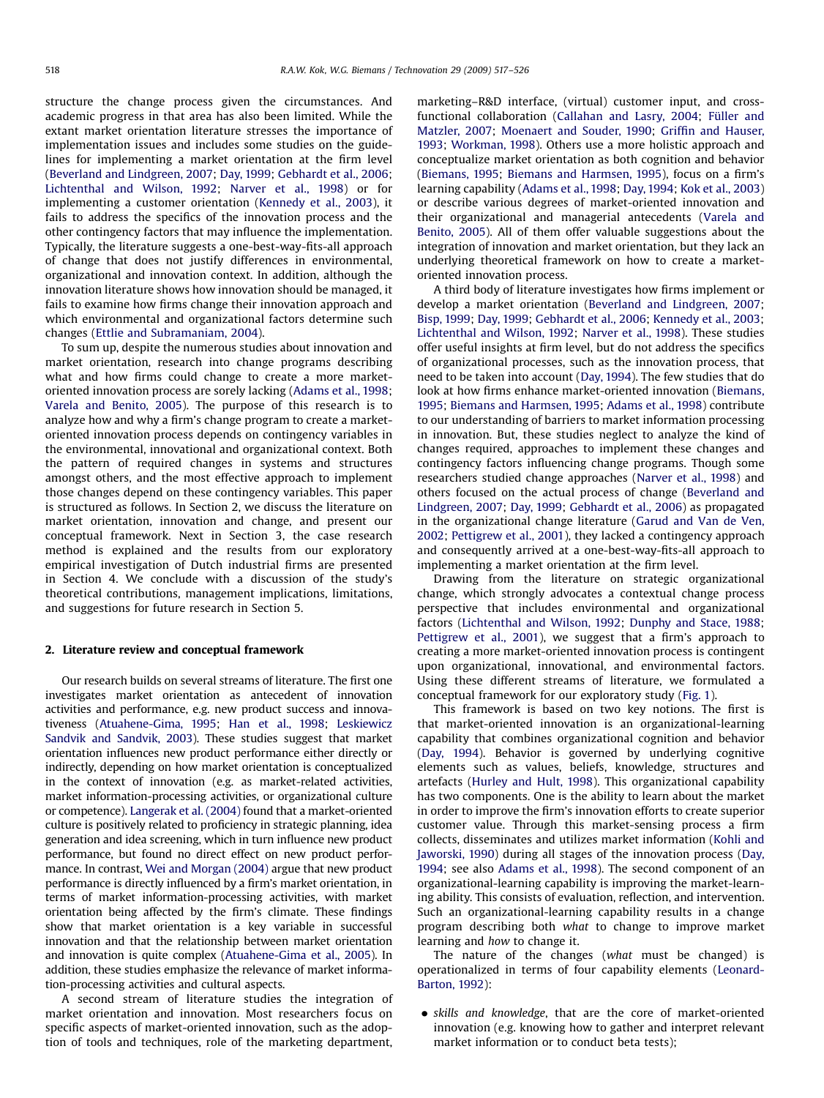structure the change process given the circumstances. And academic progress in that area has also been limited. While the extant market orientation literature stresses the importance of implementation issues and includes some studies on the guidelines for implementing a market orientation at the firm level ([Beverland and Lindgreen, 2007;](#page--1-0) [Day, 1999;](#page--1-0) [Gebhardt et al., 2006;](#page--1-0) [Lichtenthal and Wilson, 1992;](#page--1-0) [Narver et al., 1998\)](#page--1-0) or for implementing a customer orientation [\(Kennedy et al., 2003](#page--1-0)), it fails to address the specifics of the innovation process and the other contingency factors that may influence the implementation. Typically, the literature suggests a one-best-way-fits-all approach of change that does not justify differences in environmental, organizational and innovation context. In addition, although the innovation literature shows how innovation should be managed, it fails to examine how firms change their innovation approach and which environmental and organizational factors determine such changes [\(Ettlie and Subramaniam, 2004\)](#page--1-0).

To sum up, despite the numerous studies about innovation and market orientation, research into change programs describing what and how firms could change to create a more marketoriented innovation process are sorely lacking [\(Adams et al., 1998;](#page--1-0) [Varela and Benito, 2005\)](#page--1-0). The purpose of this research is to analyze how and why a firm's change program to create a marketoriented innovation process depends on contingency variables in the environmental, innovational and organizational context. Both the pattern of required changes in systems and structures amongst others, and the most effective approach to implement those changes depend on these contingency variables. This paper is structured as follows. In Section 2, we discuss the literature on market orientation, innovation and change, and present our conceptual framework. Next in Section 3, the case research method is explained and the results from our exploratory empirical investigation of Dutch industrial firms are presented in Section 4. We conclude with a discussion of the study's theoretical contributions, management implications, limitations, and suggestions for future research in Section 5.

#### 2. Literature review and conceptual framework

Our research builds on several streams of literature. The first one investigates market orientation as antecedent of innovation activities and performance, e.g. new product success and innovativeness [\(Atuahene-Gima, 1995](#page--1-0); [Han et al., 1998;](#page--1-0) [Leskiewicz](#page--1-0) [Sandvik and Sandvik, 2003](#page--1-0)). These studies suggest that market orientation influences new product performance either directly or indirectly, depending on how market orientation is conceptualized in the context of innovation (e.g. as market-related activities, market information-processing activities, or organizational culture or competence). [Langerak et al. \(2004\)](#page--1-0) found that a market-oriented culture is positively related to proficiency in strategic planning, idea generation and idea screening, which in turn influence new product performance, but found no direct effect on new product performance. In contrast, [Wei and Morgan \(2004\)](#page--1-0) argue that new product performance is directly influenced by a firm's market orientation, in terms of market information-processing activities, with market orientation being affected by the firm's climate. These findings show that market orientation is a key variable in successful innovation and that the relationship between market orientation and innovation is quite complex [\(Atuahene-Gima et al., 2005](#page--1-0)). In addition, these studies emphasize the relevance of market information-processing activities and cultural aspects.

A second stream of literature studies the integration of market orientation and innovation. Most researchers focus on specific aspects of market-oriented innovation, such as the adoption of tools and techniques, role of the marketing department, marketing–R&D interface, (virtual) customer input, and cross-functional collaboration ([Callahan and Lasry, 2004;](#page--1-0) Füller and [Matzler, 2007;](#page--1-0) [Moenaert and Souder, 1990](#page--1-0); [Griffin and Hauser,](#page--1-0) [1993](#page--1-0); [Workman, 1998](#page--1-0)). Others use a more holistic approach and conceptualize market orientation as both cognition and behavior ([Biemans, 1995;](#page--1-0) [Biemans and Harmsen, 1995\)](#page--1-0), focus on a firm's learning capability ([Adams et al., 1998;](#page--1-0) [Day, 1994](#page--1-0); [Kok et al., 2003\)](#page--1-0) or describe various degrees of market-oriented innovation and their organizational and managerial antecedents ([Varela and](#page--1-0) [Benito, 2005](#page--1-0)). All of them offer valuable suggestions about the integration of innovation and market orientation, but they lack an underlying theoretical framework on how to create a marketoriented innovation process.

A third body of literature investigates how firms implement or develop a market orientation ([Beverland and Lindgreen, 2007;](#page--1-0) [Bisp, 1999](#page--1-0); [Day, 1999](#page--1-0); [Gebhardt et al., 2006](#page--1-0); [Kennedy et al., 2003;](#page--1-0) [Lichtenthal and Wilson, 1992](#page--1-0); [Narver et al., 1998](#page--1-0)). These studies offer useful insights at firm level, but do not address the specifics of organizational processes, such as the innovation process, that need to be taken into account ([Day, 1994](#page--1-0)). The few studies that do look at how firms enhance market-oriented innovation [\(Biemans,](#page--1-0) [1995](#page--1-0); [Biemans and Harmsen, 1995;](#page--1-0) [Adams et al., 1998\)](#page--1-0) contribute to our understanding of barriers to market information processing in innovation. But, these studies neglect to analyze the kind of changes required, approaches to implement these changes and contingency factors influencing change programs. Though some researchers studied change approaches [\(Narver et al., 1998](#page--1-0)) and others focused on the actual process of change ([Beverland and](#page--1-0) [Lindgreen, 2007;](#page--1-0) [Day, 1999](#page--1-0); [Gebhardt et al., 2006](#page--1-0)) as propagated in the organizational change literature [\(Garud and Van de Ven,](#page--1-0) [2002](#page--1-0); [Pettigrew et al., 2001\)](#page--1-0), they lacked a contingency approach and consequently arrived at a one-best-way-fits-all approach to implementing a market orientation at the firm level.

Drawing from the literature on strategic organizational change, which strongly advocates a contextual change process perspective that includes environmental and organizational factors [\(Lichtenthal and Wilson, 1992;](#page--1-0) [Dunphy and Stace, 1988;](#page--1-0) [Pettigrew et al., 2001\)](#page--1-0), we suggest that a firm's approach to creating a more market-oriented innovation process is contingent upon organizational, innovational, and environmental factors. Using these different streams of literature, we formulated a conceptual framework for our exploratory study ([Fig. 1\)](#page--1-0).

This framework is based on two key notions. The first is that market-oriented innovation is an organizational-learning capability that combines organizational cognition and behavior ([Day, 1994](#page--1-0)). Behavior is governed by underlying cognitive elements such as values, beliefs, knowledge, structures and artefacts [\(Hurley and Hult, 1998\)](#page--1-0). This organizational capability has two components. One is the ability to learn about the market in order to improve the firm's innovation efforts to create superior customer value. Through this market-sensing process a firm collects, disseminates and utilizes market information [\(Kohli and](#page--1-0) [Jaworski, 1990](#page--1-0)) during all stages of the innovation process [\(Day,](#page--1-0) [1994](#page--1-0); see also [Adams et al., 1998\)](#page--1-0). The second component of an organizational-learning capability is improving the market-learning ability. This consists of evaluation, reflection, and intervention. Such an organizational-learning capability results in a change program describing both what to change to improve market learning and how to change it.

The nature of the changes (what must be changed) is operationalized in terms of four capability elements ([Leonard-](#page--1-0)[Barton, 1992\)](#page--1-0):

• skills and knowledge, that are the core of market-oriented innovation (e.g. knowing how to gather and interpret relevant market information or to conduct beta tests);